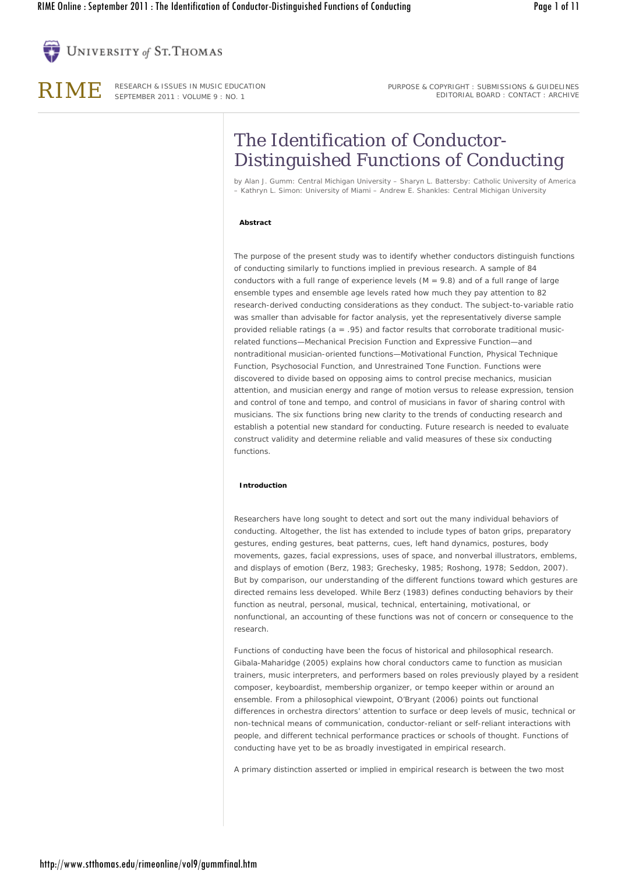

RIME RESEARCH & ISSUES IN MUSIC EDUCATION SEPTEMBER 2011 : VOLUME 9 : NO. 1

PURPOSE & COPYRIGHT : SUBMISSIONS & GUIDELINES EDITORIAL BOARD : CONTACT : ARCHIVE

# The Identification of Conductor-Distinguished Functions of Conducting

by *Alan J. Gumm: Central Michigan University – Sharyn L. Battersby: Catholic University of America – Kathryn L. Simon: University of Miami – Andrew E. Shankles: Central Michigan University*

## **Abstract**

The purpose of the present study was to identify whether conductors distinguish functions of conducting similarly to functions implied in previous research. A sample of 84 conductors with a full range of experience levels  $(M = 9.8)$  and of a full range of large ensemble types and ensemble age levels rated how much they pay attention to 82 research-derived conducting considerations as they conduct. The subject-to-variable ratio was smaller than advisable for factor analysis, yet the representatively diverse sample provided reliable ratings ( $a = .95$ ) and factor results that corroborate traditional musicrelated functions—Mechanical Precision Function and Expressive Function—and nontraditional musician-oriented functions—Motivational Function, Physical Technique Function, Psychosocial Function, and Unrestrained Tone Function. Functions were discovered to divide based on opposing aims to *control* precise mechanics, musician attention, and musician energy and range of motion versus to *release* expression, tension and control of tone and tempo, and control of musicians in favor of sharing control with musicians. The six functions bring new clarity to the trends of conducting research and establish a potential new standard for conducting. Future research is needed to evaluate construct validity and determine reliable and valid measures of these six conducting functions.

### **Introduction**

Researchers have long sought to detect and sort out the many individual behaviors of conducting. Altogether, the list has extended to include types of baton grips, preparatory gestures, ending gestures, beat patterns, cues, left hand dynamics, postures, body movements, gazes, facial expressions, uses of space, and nonverbal illustrators, emblems, and displays of emotion (Berz, 1983; Grechesky, 1985; Roshong, 1978; Seddon, 2007). But by comparison, our understanding of the different functions toward which gestures are directed remains less developed. While Berz (1983) defines conducting behaviors by their function as neutral, personal, musical, technical, entertaining, motivational, or nonfunctional, an accounting of these functions was not of concern or consequence to the research.

Functions of conducting have been the focus of historical and philosophical research. Gibala-Maharidge (2005) explains how choral conductors came to function as musician trainers, music interpreters, and performers based on roles previously played by a resident composer, keyboardist, membership organizer, or tempo keeper within or around an ensemble. From a philosophical viewpoint, O'Bryant (2006) points out functional differences in orchestra directors' attention to surface or deep levels of music, technical or non-technical means of communication, conductor-reliant or self-reliant interactions with people, and different technical performance practices or schools of thought. Functions of conducting have yet to be as broadly investigated in empirical research.

A primary distinction asserted or implied in empirical research is between the two most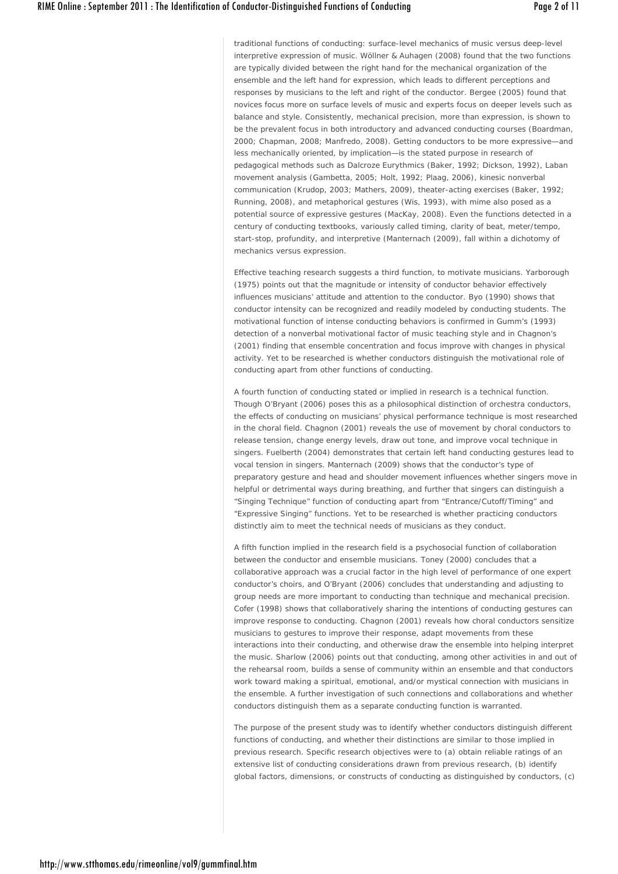traditional functions of conducting: surface-level mechanics of music versus deep-level interpretive expression of music. Wöllner & Auhagen (2008) found that the two functions are typically divided between the right hand for the mechanical organization of the ensemble and the left hand for expression, which leads to different perceptions and responses by musicians to the left and right of the conductor. Bergee (2005) found that novices focus more on surface levels of music and experts focus on deeper levels such as balance and style. Consistently, mechanical precision, more than expression, is shown to be the prevalent focus in both introductory and advanced conducting courses (Boardman, 2000; Chapman, 2008; Manfredo, 2008). Getting conductors to be more expressive—and less mechanically oriented, by implication—is the stated purpose in research of pedagogical methods such as Dalcroze Eurythmics (Baker, 1992; Dickson, 1992), Laban movement analysis (Gambetta, 2005; Holt, 1992; Plaag, 2006), kinesic nonverbal communication (Krudop, 2003; Mathers, 2009), theater-acting exercises (Baker, 1992; Running, 2008), and metaphorical gestures (Wis, 1993), with mime also posed as a potential source of expressive gestures (MacKay, 2008). Even the functions detected in a century of conducting textbooks, variously called timing, clarity of beat, meter/tempo, start-stop, profundity, and interpretive (Manternach (2009), fall within a dichotomy of mechanics versus expression.

Effective teaching research suggests a third function, to motivate musicians. Yarborough (1975) points out that the magnitude or intensity of conductor behavior effectively influences musicians' attitude and attention to the conductor. Byo (1990) shows that conductor intensity can be recognized and readily modeled by conducting students. The motivational function of intense conducting behaviors is confirmed in Gumm's (1993) detection of a nonverbal motivational factor of music teaching style and in Chagnon's (2001) finding that ensemble concentration and focus improve with changes in physical activity. Yet to be researched is whether conductors distinguish the motivational role of conducting apart from other functions of conducting.

A fourth function of conducting stated or implied in research is a technical function. Though O'Bryant (2006) poses this as a philosophical distinction of orchestra conductors, the effects of conducting on musicians' physical performance technique is most researched in the choral field. Chagnon (2001) reveals the use of movement by choral conductors to release tension, change energy levels, draw out tone, and improve vocal technique in singers. Fuelberth (2004) demonstrates that certain left hand conducting gestures lead to vocal tension in singers. Manternach (2009) shows that the conductor's type of preparatory gesture and head and shoulder movement influences whether singers move in helpful or detrimental ways during breathing, and further that singers can distinguish a "Singing Technique" function of conducting apart from "Entrance/Cutoff/Timing" and "Expressive Singing" functions. Yet to be researched is whether practicing conductors distinctly aim to meet the technical needs of musicians as they conduct.

A fifth function implied in the research field is a psychosocial function of collaboration between the conductor and ensemble musicians. Toney (2000) concludes that a collaborative approach was a crucial factor in the high level of performance of one expert conductor's choirs, and O'Bryant (2006) concludes that understanding and adjusting to group needs are more important to conducting than technique and mechanical precision. Cofer (1998) shows that collaboratively sharing the intentions of conducting gestures can improve response to conducting. Chagnon (2001) reveals how choral conductors sensitize musicians to gestures to improve their response, adapt movements from these interactions into their conducting, and otherwise draw the ensemble into helping interpret the music. Sharlow (2006) points out that conducting, among other activities in and out of the rehearsal room, builds a sense of community within an ensemble and that conductors work toward making a spiritual, emotional, and/or mystical connection with musicians in the ensemble. A further investigation of such connections and collaborations and whether conductors distinguish them as a separate conducting function is warranted.

The purpose of the present study was to identify whether conductors distinguish different functions of conducting, and whether their distinctions are similar to those implied in previous research. Specific research objectives were to (a) obtain reliable ratings of an extensive list of conducting considerations drawn from previous research, (b) identify global factors, dimensions, or constructs of conducting as distinguished by conductors, (c)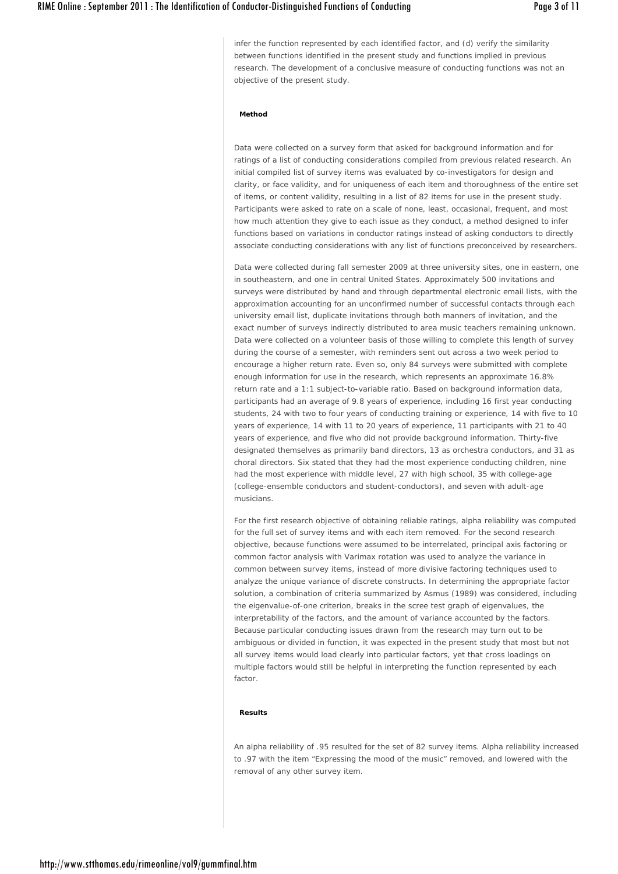infer the function represented by each identified factor, and (d) verify the similarity between functions identified in the present study and functions implied in previous research. The development of a conclusive measure of conducting functions was not an objective of the present study.

## **Method**

Data were collected on a survey form that asked for background information and for ratings of a list of conducting considerations compiled from previous related research. An initial compiled list of survey items was evaluated by co-investigators for design and clarity, or face validity, and for uniqueness of each item and thoroughness of the entire set of items, or content validity, resulting in a list of 82 items for use in the present study. Participants were asked to rate on a scale of *none, least, occasional, frequent*, and *most*  how much attention they give to each issue as they conduct, a method designed to infer functions based on variations in conductor ratings instead of asking conductors to directly associate conducting considerations with any list of functions preconceived by researchers.

Data were collected during fall semester 2009 at three university sites, one in eastern, one in southeastern, and one in central United States. Approximately 500 invitations and surveys were distributed by hand and through departmental electronic email lists, with the approximation accounting for an unconfirmed number of successful contacts through each university email list, duplicate invitations through both manners of invitation, and the exact number of surveys indirectly distributed to area music teachers remaining unknown. Data were collected on a volunteer basis of those willing to complete this length of survey during the course of a semester, with reminders sent out across a two week period to encourage a higher return rate. Even so, only 84 surveys were submitted with complete enough information for use in the research, which represents an approximate 16.8% return rate and a 1:1 subject-to-variable ratio. Based on background information data, participants had an average of 9.8 years of experience, including 16 first year conducting students, 24 with two to four years of conducting training or experience, 14 with five to 10 years of experience, 14 with 11 to 20 years of experience, 11 participants with 21 to 40 years of experience, and five who did not provide background information. Thirty-five designated themselves as primarily band directors, 13 as orchestra conductors, and 31 as choral directors. Six stated that they had the most experience conducting children, nine had the most experience with middle level, 27 with high school, 35 with college-age (college-ensemble conductors and student-conductors), and seven with adult-age musicians.

For the first research objective of obtaining reliable ratings, alpha reliability was computed for the full set of survey items and with each item removed. For the second research objective, because functions were assumed to be interrelated, principal axis factoring or common factor analysis with Varimax rotation was used to analyze the variance in common between survey items, instead of more divisive factoring techniques used to analyze the unique variance of discrete constructs. In determining the appropriate factor solution, a combination of criteria summarized by Asmus (1989) was considered, including the eigenvalue-of-one criterion, breaks in the scree test graph of eigenvalues, the interpretability of the factors, and the amount of variance accounted by the factors. Because particular conducting issues drawn from the research may turn out to be ambiguous or divided in function, it was expected in the present study that most but not all survey items would load clearly into particular factors, yet that cross loadings on multiple factors would still be helpful in interpreting the function represented by each factor.

## **Results**

An alpha reliability of .95 resulted for the set of 82 survey items. Alpha reliability increased to .97 with the item "Expressing the mood of the music" removed, and lowered with the removal of any other survey item.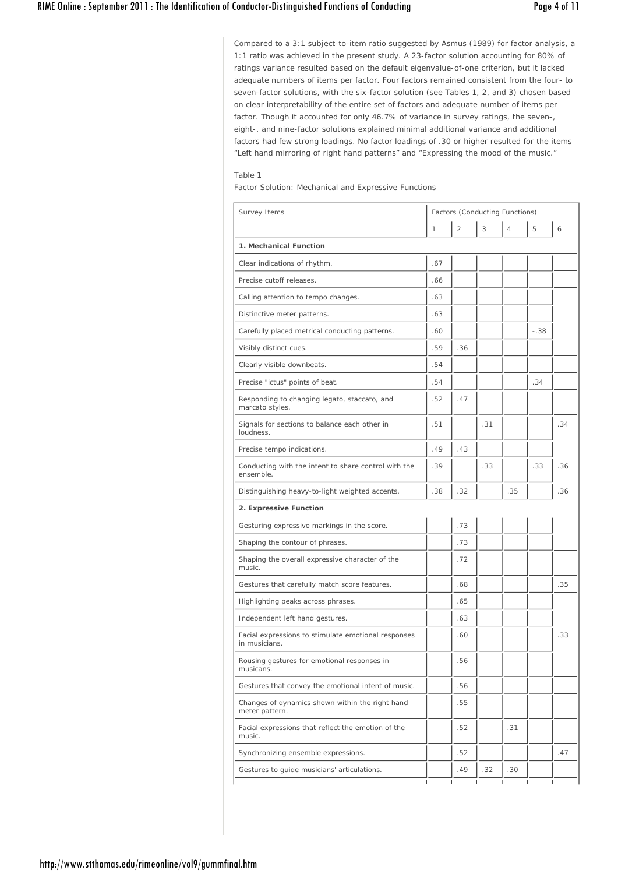Compared to a 3:1 subject-to-item ratio suggested by Asmus (1989) for factor analysis, a 1:1 ratio was achieved in the present study. A 23-factor solution accounting for 80% of ratings variance resulted based on the default eigenvalue-of-one criterion, but it lacked adequate numbers of items per factor. Four factors remained consistent from the four- to seven-factor solutions, with the six-factor solution (see Tables 1, 2, and 3) chosen based on clear interpretability of the entire set of factors and adequate number of items per factor. Though it accounted for only 46.7% of variance in survey ratings, the seven-, eight-, and nine-factor solutions explained minimal additional variance and additional factors had few strong loadings. No factor loadings of .30 or higher resulted for the items "Left hand mirroring of right hand patterns" and "Expressing the mood of the music."

## Table 1

*Factor Solution: Mechanical and Expressive Functions*

| Survey Items                                                         | Factors (Conducting Functions) |                |     |                |        |     |
|----------------------------------------------------------------------|--------------------------------|----------------|-----|----------------|--------|-----|
|                                                                      | $\mathbf{1}$                   | $\overline{2}$ | 3   | $\overline{4}$ | 5      | 6   |
| 1. Mechanical Function                                               |                                |                |     |                |        |     |
| Clear indications of rhythm.                                         | .67                            |                |     |                |        |     |
| Precise cutoff releases.                                             | .66                            |                |     |                |        |     |
| Calling attention to tempo changes.                                  | .63                            |                |     |                |        |     |
| Distinctive meter patterns.                                          | .63                            |                |     |                |        |     |
| Carefully placed metrical conducting patterns.                       | .60                            |                |     |                | $-.38$ |     |
| Visibly distinct cues.                                               | .59                            | .36            |     |                |        |     |
| Clearly visible downbeats.                                           | .54                            |                |     |                |        |     |
| Precise "ictus" points of beat.                                      | .54                            |                |     |                | .34    |     |
| Responding to changing legato, staccato, and<br>marcato styles.      | .52                            | .47            |     |                |        |     |
| Signals for sections to balance each other in<br><i>apanhunl</i>     | .51                            |                | .31 |                |        | .34 |
| Precise tempo indications.                                           | .49                            | .43            |     |                |        |     |
| Conducting with the intent to share control with the<br>ensemble.    | .39                            |                | .33 |                | .33    | .36 |
| Distinguishing heavy-to-light weighted accents.                      | .38                            | .32            |     | .35            |        | .36 |
| 2. Expressive Function                                               |                                |                |     |                |        |     |
| Gesturing expressive markings in the score.                          |                                | .73            |     |                |        |     |
| Shaping the contour of phrases.                                      |                                | .73            |     |                |        |     |
| Shaping the overall expressive character of the<br>music.            |                                | .72            |     |                |        |     |
| Gestures that carefully match score features.                        |                                | .68            |     |                |        | .35 |
| Highlighting peaks across phrases.                                   |                                | .65            |     |                |        |     |
| Independent left hand gestures.                                      |                                | .63            |     |                |        |     |
| Facial expressions to stimulate emotional responses<br>in musicians. |                                | .60            |     |                |        | .33 |
| Rousing gestures for emotional responses in<br>musicans.             |                                | .56            |     |                |        |     |
| Gestures that convey the emotional intent of music.                  |                                | .56            |     |                |        |     |
| Changes of dynamics shown within the right hand<br>meter pattern.    |                                | .55            |     |                |        |     |
| Facial expressions that reflect the emotion of the<br>music.         |                                | .52            |     | .31            |        |     |
| Synchronizing ensemble expressions.                                  |                                | .52            |     |                |        | .47 |
| Gestures to guide musicians' articulations.                          |                                | .49            | .32 | .30            |        |     |
|                                                                      |                                |                |     |                |        |     |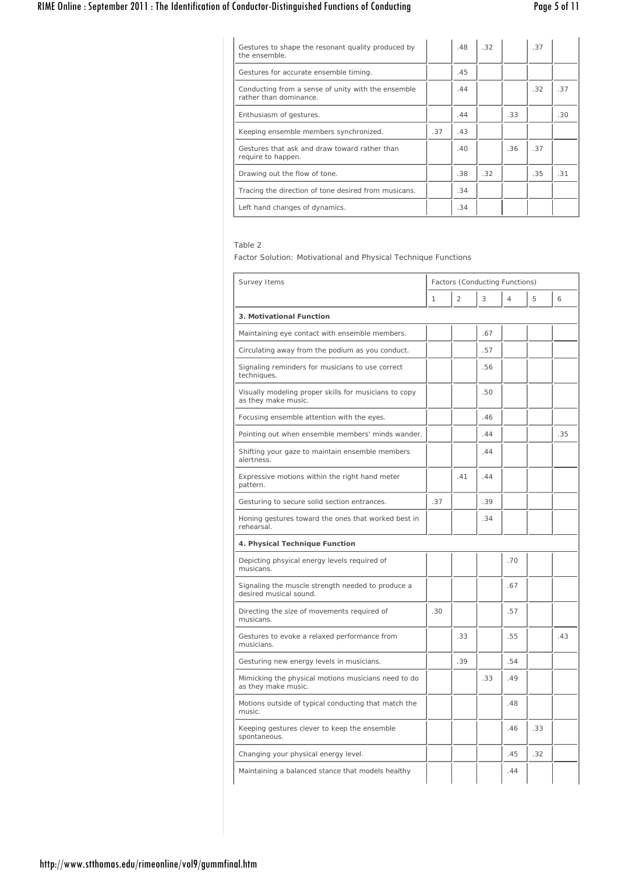# RIME Online : September 2011 : The Identification of Conductor-Distinguished Functions of Conducting Page 5 of 11

| Gestures to shape the resonant quality produced by<br>the ensemble.          |     | .48 | .32 |     | .37 |     |
|------------------------------------------------------------------------------|-----|-----|-----|-----|-----|-----|
| Gestures for accurate ensemble timing.                                       |     | .45 |     |     |     |     |
| Conducting from a sense of unity with the ensemble<br>rather than dominance. |     | .44 |     |     | .32 | .37 |
| Enthusiasm of gestures.                                                      |     | .44 |     | .33 |     | .30 |
| Keeping ensemble members synchronized.                                       | .37 | .43 |     |     |     |     |
| Gestures that ask and draw toward rather than<br>require to happen.          |     | .40 |     | .36 | .37 |     |
| Drawing out the flow of tone.                                                |     | .38 | .32 |     | .35 | .31 |
| Tracing the direction of tone desired from musicans.                         |     | .34 |     |     |     |     |
| Left hand changes of dynamics.                                               |     | .34 |     |     |     |     |

## Table 2

*Factor Solution: Motivational and Physical Technique Functions*

| Survey Items                                                                 | Factors (Conducting Functions) |                |     |     |     |     |
|------------------------------------------------------------------------------|--------------------------------|----------------|-----|-----|-----|-----|
|                                                                              | $\mathbf{1}$                   | $\overline{2}$ | 3   | 4   | 5   | 6   |
| 3. Motivational Function                                                     |                                |                |     |     |     |     |
| Maintaining eye contact with ensemble members.                               |                                |                | .67 |     |     |     |
| Circulating away from the podium as you conduct.                             |                                |                | .57 |     |     |     |
| Signaling reminders for musicians to use correct<br>techniques.              |                                |                | .56 |     |     |     |
| Visually modeling proper skills for musicians to copy<br>as they make music. |                                |                | .50 |     |     |     |
| Focusing ensemble attention with the eyes.                                   |                                |                | .46 |     |     |     |
| Pointing out when ensemble members' minds wander.                            |                                |                | .44 |     |     | .35 |
| Shifting your gaze to maintain ensemble members<br>alertness.                |                                |                | .44 |     |     |     |
| Expressive motions within the right hand meter<br>pattern.                   |                                | .41            | .44 |     |     |     |
| Gesturing to secure solid section entrances.                                 | .37                            |                | .39 |     |     |     |
| Honing gestures toward the ones that worked best in<br>rehearsal.            |                                |                | .34 |     |     |     |
| 4. Physical Technique Function                                               |                                |                |     |     |     |     |
| Depicting phsyical energy levels required of<br>musicans.                    |                                |                |     | .70 |     |     |
| Signaling the muscle strength needed to produce a<br>desired musical sound.  |                                |                |     | .67 |     |     |
| Directing the size of movements required of<br>musicans.                     | .30                            |                |     | .57 |     |     |
| Gestures to evoke a relaxed performance from<br>musicians.                   |                                | .33            |     | .55 |     | .43 |
| Gesturing new energy levels in musicians.                                    |                                | .39            |     | .54 |     |     |
| Mimicking the physical motions musicians need to do<br>as they make music.   |                                |                | .33 | .49 |     |     |
| Motions outside of typical conducting that match the<br>music.               |                                |                |     | .48 |     |     |
| Keeping gestures clever to keep the ensemble<br>spontaneous.                 |                                |                |     | .46 | .33 |     |
| Changing your physical energy level.                                         |                                |                |     | .45 | .32 |     |
| Maintaining a balanced stance that models healthy                            |                                |                |     | .44 |     |     |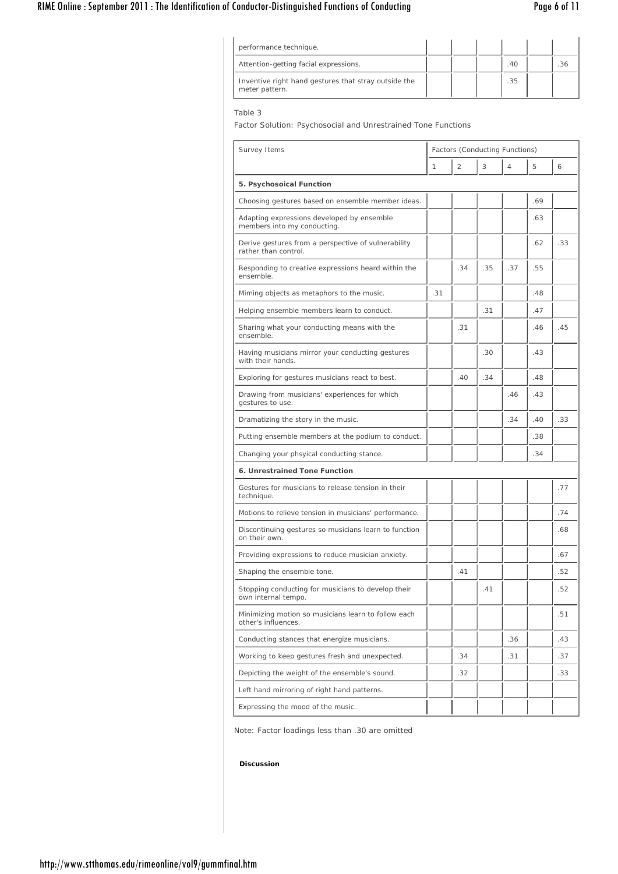## RIME Online : September 2011 : The Identification of Conductor-Distinguished Functions of Conducting Page 6 of 11

| performance technique.                                                 |  |     |  |
|------------------------------------------------------------------------|--|-----|--|
| Attention-getting facial expressions.                                  |  | .40 |  |
| Inventive right hand gestures that stray outside the<br>meter pattern. |  | .35 |  |

## Table 3

Factor Solution: Psychosocial and Unrestrained Tone Functions

| Survey Items                                                                | Factors (Conducting Functions) |                |     |     |     |     |
|-----------------------------------------------------------------------------|--------------------------------|----------------|-----|-----|-----|-----|
|                                                                             | 1                              | $\overline{2}$ | 3   | 4   | 5   | 6   |
| 5. Psychosoical Function                                                    |                                |                |     |     |     |     |
| Choosing gestures based on ensemble member ideas.                           |                                |                |     |     | .69 |     |
| Adapting expressions developed by ensemble<br>members into my conducting.   |                                |                |     |     | .63 |     |
| Derive gestures from a perspective of vulnerability<br>rather than control. |                                |                |     |     | .62 | .33 |
| Responding to creative expressions heard within the<br>ensemble.            |                                | .34            | .35 | .37 | .55 |     |
| Miming objects as metaphors to the music.                                   | .31                            |                |     |     | .48 |     |
| Helping ensemble members learn to conduct.                                  |                                |                | .31 |     | .47 |     |
| Sharing what your conducting means with the<br>ensemble.                    |                                | .31            |     |     | .46 | .45 |
| Having musicians mirror your conducting gestures<br>with their hands.       |                                |                | .30 |     | .43 |     |
| Exploring for gestures musicians react to best.                             |                                | .40            | .34 |     | .48 |     |
| Drawing from musicians' experiences for which<br>gestures to use.           |                                |                |     | .46 | .43 |     |
| Dramatizing the story in the music.                                         |                                |                |     | .34 | .40 | .33 |
| Putting ensemble members at the podium to conduct.                          |                                |                |     |     | .38 |     |
| Changing your phsyical conducting stance.                                   |                                |                |     |     | .34 |     |
| 6. Unrestrained Tone Function                                               |                                |                |     |     |     |     |
| Gestures for musicians to release tension in their<br>technique.            |                                |                |     |     |     | .77 |
| Motions to relieve tension in musicians' performance.                       |                                |                |     |     |     | .74 |
| Discontinuing gestures so musicians learn to function<br>on their own.      |                                |                |     |     |     | .68 |
| Providing expressions to reduce musician anxiety.                           |                                |                |     |     |     | .67 |
| Shaping the ensemble tone.                                                  |                                | .41            |     |     |     | .52 |
| Stopping conducting for musicians to develop their<br>own internal tempo.   |                                |                | .41 |     |     | .52 |
| Minimizing motion so musicians learn to follow each<br>other's influences.  |                                |                |     |     |     | .51 |
| Conducting stances that energize musicians.                                 |                                |                |     | .36 |     | .43 |
| Working to keep gestures fresh and unexpected.                              |                                | .34            |     | .31 |     | .37 |
| Depicting the weight of the ensemble's sound.                               |                                | .32            |     |     |     | .33 |
| Left hand mirroring of right hand patterns.                                 |                                |                |     |     |     |     |
| Expressing the mood of the music.                                           |                                |                |     |     |     |     |

Note: Factor loadings less than .30 are omitted

## **Discussion**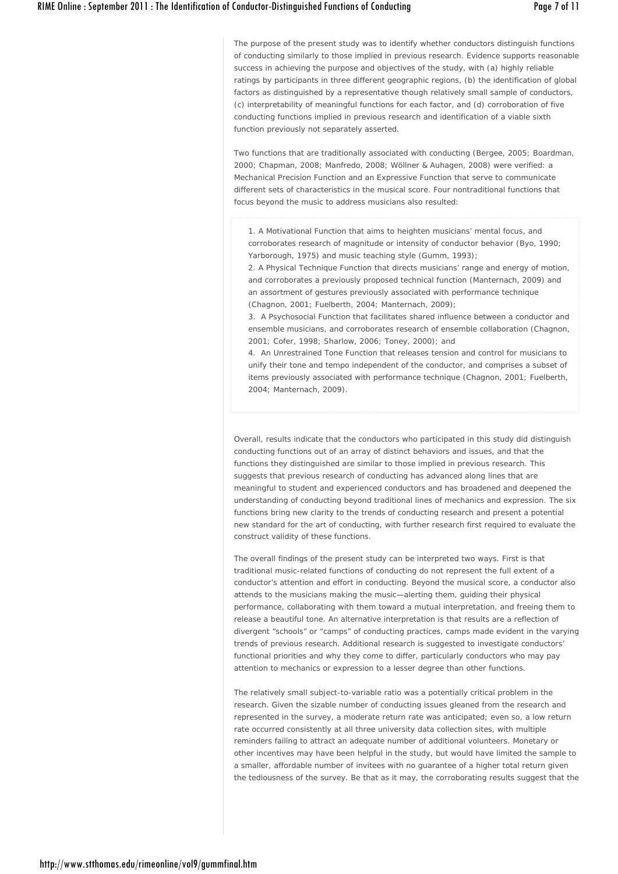The purpose of the present study was to identify whether conductors distinguish functions of conducting similarly to those implied in previous research. Evidence supports reasonable success in achieving the purpose and objectives of the study, with (a) highly reliable ratings by participants in three different geographic regions, (b) the identification of global factors as distinguished by a representative though relatively small sample of conductors, (c) interpretability of meaningful functions for each factor, and (d) corroboration of five conducting functions implied in previous research and identification of a viable sixth function previously not separately asserted.

Two functions that are traditionally associated with conducting (Bergee, 2005; Boardman, 2000; Chapman, 2008; Manfredo, 2008; Wöllner & Auhagen, 2008) were verified: a Mechanical Precision Function and an Expressive Function that serve to communicate different sets of characteristics in the musical score. Four nontraditional functions that focus beyond the music to address musicians also resulted:

1. A Motivational Function that aims to heighten musicians' mental focus, and corroborates research of magnitude or intensity of conductor behavior (Byo, 1990; Yarborough, 1975) and music teaching style (Gumm, 1993);

2. A Physical Technique Function that directs musicians' range and energy of motion, and corroborates a previously proposed technical function (Manternach, 2009) and an assortment of gestures previously associated with performance technique (Chagnon, 2001; Fuelberth, 2004; Manternach, 2009);

3. A Psychosocial Function that facilitates shared influence between a conductor and ensemble musicians, and corroborates research of ensemble collaboration (Chagnon, 2001; Cofer, 1998; Sharlow, 2006; Toney, 2000); and

4. An Unrestrained Tone Function that releases tension and control for musicians to unify their tone and tempo independent of the conductor, and comprises a subset of items previously associated with performance technique (Chagnon, 2001; Fuelberth, 2004; Manternach, 2009).

Overall, results indicate that the conductors who participated in this study did distinguish conducting functions out of an array of distinct behaviors and issues, and that the functions they distinguished are similar to those implied in previous research. This suggests that previous research of conducting has advanced along lines that are meaningful to student and experienced conductors and has broadened and deepened the understanding of conducting beyond traditional lines of mechanics and expression. The six functions bring new clarity to the trends of conducting research and present a potential new standard for the art of conducting, with further research first required to evaluate the construct validity of these functions.

The overall findings of the present study can be interpreted two ways. First is that traditional music-related functions of conducting do not represent the full extent of a conductor's attention and effort in conducting. Beyond the musical score, a conductor also attends to the musicians making the music—alerting them, guiding their physical performance, collaborating with them toward a mutual interpretation, and freeing them to release a beautiful tone. An alternative interpretation is that results are a reflection of divergent "schools" or "camps" of conducting practices, camps made evident in the varying trends of previous research. Additional research is suggested to investigate conductors' functional priorities and why they come to differ, particularly conductors who may pay attention to mechanics or expression to a lesser degree than other functions.

The relatively small subject-to-variable ratio was a potentially critical problem in the research. Given the sizable number of conducting issues gleaned from the research and represented in the survey, a moderate return rate was anticipated; even so, a low return rate occurred consistently at all three university data collection sites, with multiple reminders failing to attract an adequate number of additional volunteers. Monetary or other incentives may have been helpful in the study, but would have limited the sample to a smaller, affordable number of invitees with no guarantee of a higher total return given the tediousness of the survey. Be that as it may, the corroborating results suggest that the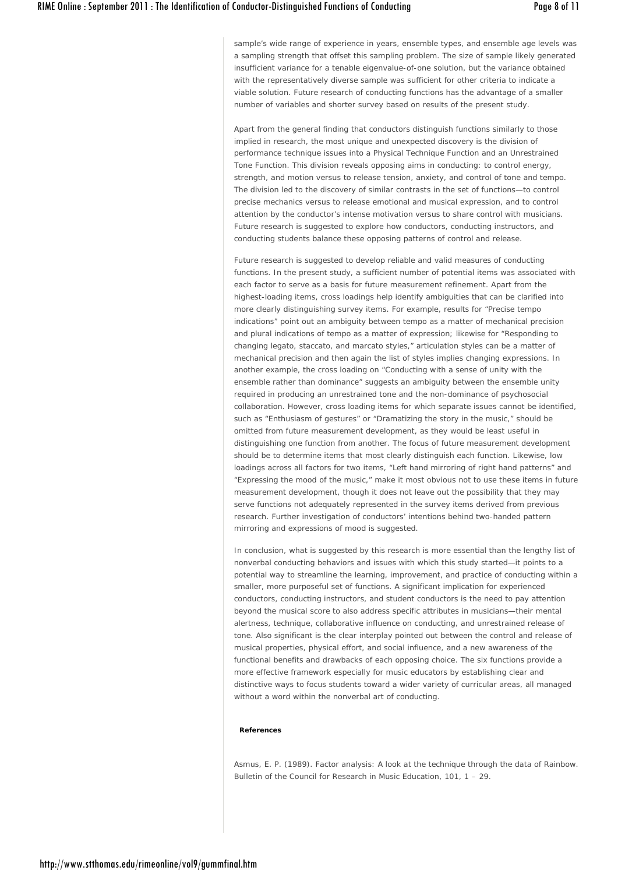sample's wide range of experience in years, ensemble types, and ensemble age levels was a sampling strength that offset this sampling problem. The size of sample likely generated insufficient variance for a tenable eigenvalue-of-one solution, but the variance obtained with the representatively diverse sample was sufficient for other criteria to indicate a viable solution. Future research of conducting functions has the advantage of a smaller number of variables and shorter survey based on results of the present study.

Apart from the general finding that conductors distinguish functions similarly to those implied in research, the most unique and unexpected discovery is the division of performance technique issues into a Physical Technique Function and an Unrestrained Tone Function. This division reveals opposing aims in conducting: to control energy, strength, and motion versus to release tension, anxiety, and control of tone and tempo. The division led to the discovery of similar contrasts in the set of functions—to control precise mechanics versus to release emotional and musical expression, and to control attention by the conductor's intense motivation versus to share control with musicians. Future research is suggested to explore how conductors, conducting instructors, and conducting students balance these opposing patterns of control and release.

Future research is suggested to develop reliable and valid measures of conducting functions. In the present study, a sufficient number of potential items was associated with each factor to serve as a basis for future measurement refinement. Apart from the highest-loading items, cross loadings help identify ambiguities that can be clarified into more clearly distinguishing survey items. For example, results for "Precise tempo indications" point out an ambiguity between tempo as a matter of mechanical precision and plural indications of tempo as a matter of expression; likewise for "Responding to changing legato, staccato, and marcato styles," articulation styles can be a matter of mechanical precision and then again the list of styles implies changing expressions. In another example, the cross loading on "Conducting with a sense of unity with the ensemble rather than dominance" suggests an ambiguity between the ensemble unity required in producing an unrestrained tone and the non-dominance of psychosocial collaboration. However, cross loading items for which separate issues cannot be identified, such as "Enthusiasm of gestures" or "Dramatizing the story in the music," should be omitted from future measurement development, as they would be least useful in distinguishing one function from another. The focus of future measurement development should be to determine items that most clearly distinguish each function. Likewise, low loadings across all factors for two items, "Left hand mirroring of right hand patterns" and "Expressing the mood of the music," make it most obvious not to use these items in future measurement development, though it does not leave out the possibility that they may serve functions not adequately represented in the survey items derived from previous research. Further investigation of conductors' intentions behind two-handed pattern mirroring and expressions of mood is suggested.

In conclusion, what is suggested by this research is more essential than the lengthy list of nonverbal conducting behaviors and issues with which this study started—it points to a potential way to streamline the learning, improvement, and practice of conducting within a smaller, more purposeful set of functions. A significant implication for experienced conductors, conducting instructors, and student conductors is the need to pay attention beyond the musical score to also address specific attributes in musicians—their mental alertness, technique, collaborative influence on conducting, and unrestrained release of tone. Also significant is the clear interplay pointed out between the control and release of musical properties, physical effort, and social influence, and a new awareness of the functional benefits and drawbacks of each opposing choice. The six functions provide a more effective framework especially for music educators by establishing clear and distinctive ways to focus students toward a wider variety of curricular areas, all managed without a word within the nonverbal art of conducting.

#### **References**

Asmus, E. P. (1989). Factor analysis: A look at the technique through the data of Rainbow. *Bulletin of the Council for Research in Music Education*, *101*, 1 – 29.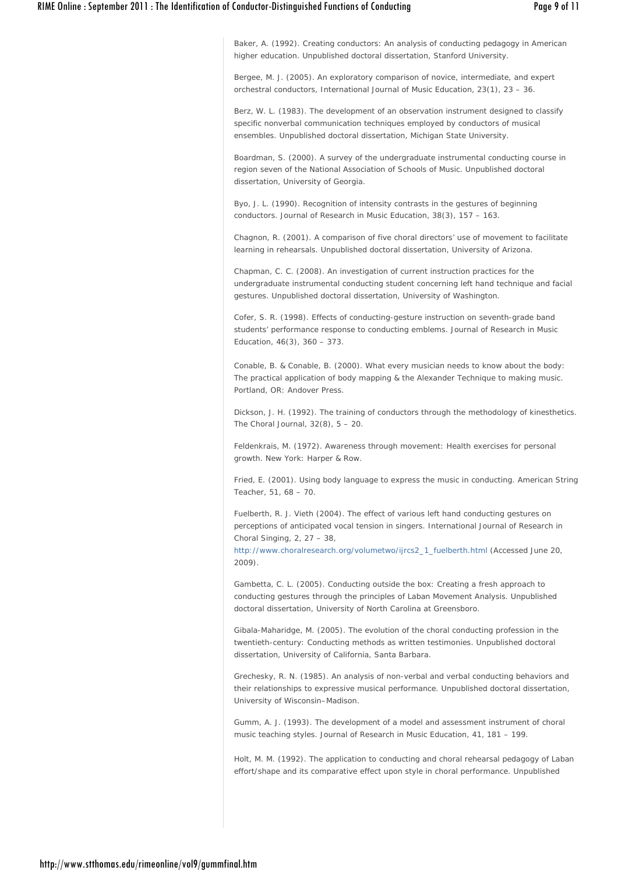Baker, A. (1992). *Creating conductors: An analysis of conducting pedagogy in American higher education*. Unpublished doctoral dissertation, Stanford University.

Bergee, M. J. (2005). An exploratory comparison of novice, intermediate, and expert orchestral conductors, *International Journal of Music Education*, *23*(1), 23 – 36.

Berz, W. L. (1983). *The development of an observation instrument designed to classify specific nonverbal communication techniques employed by conductors of musical ensembles*. Unpublished doctoral dissertation, Michigan State University.

Boardman, S. (2000). *A survey of the undergraduate instrumental conducting course in region seven of the National Association of Schools of Music*. Unpublished doctoral dissertation, University of Georgia.

Byo, J. L. (1990). Recognition of intensity contrasts in the gestures of beginning conductors. *Journal of Research in Music Education*, *38*(3), 157 – 163.

Chagnon, R. (2001). *A comparison of five choral directors' use of movement to facilitate learning in rehearsals*. Unpublished doctoral dissertation, University of Arizona.

Chapman, C. C. (2008). *An investigation of current instruction practices for the undergraduate instrumental conducting student concerning left hand technique and facial gestures*. Unpublished doctoral dissertation, University of Washington.

Cofer, S. R. (1998). Effects of conducting-gesture instruction on seventh-grade band students' performance response to conducting emblems. *Journal of Research in Music Education*, *46*(3), 360 – 373.

Conable, B. & Conable, B. (2000). *What every musician needs to know about the body: The practical application of body mapping & the Alexander Technique to making music*. Portland, OR: Andover Press.

Dickson, J. H. (1992). The training of conductors through the methodology of kinesthetics. *The Choral Journal*, *32*(8), 5 – 20.

Feldenkrais, M. (1972). Awareness through movement: Health exercises for personal growth. New York: Harper & Row.

Fried, E. (2001). Using body language to express the music in conducting. *American String Teacher*, *51*, 68 – 70.

Fuelberth, R. J. Vieth (2004). The effect of various left hand conducting gestures on perceptions of anticipated vocal tension in singers. *International Journal of Research in Choral Singing*, *2*, 27 – 38,

http://www.choralresearch.org/volumetwo/ijrcs2\_1\_fuelberth.html (Accessed June 20, 2009).

Gambetta, C. L. (2005). *Conducting outside the box: Creating a fresh approach to conducting gestures through the principles of Laban Movement Analysis*. Unpublished doctoral dissertation, University of North Carolina at Greensboro.

Gibala-Maharidge, M. (2005). *The evolution of the choral conducting profession in the twentieth-century: Conducting methods as written testimonies*. Unpublished doctoral dissertation, University of California, Santa Barbara.

Grechesky, R. N. (1985). *An analysis of non-verbal and verbal conducting behaviors and their relationships to expressive musical performance*. Unpublished doctoral dissertation, University of Wisconsin–Madison.

Gumm, A. J. (1993). The development of a model and assessment instrument of choral music teaching styles. *Journal of Research in Music Education*, *41,* 181 – 199.

Holt, M. M. (1992). *The application to conducting and choral rehearsal pedagogy of Laban effort/shape and its comparative effect upon style in choral performance*. Unpublished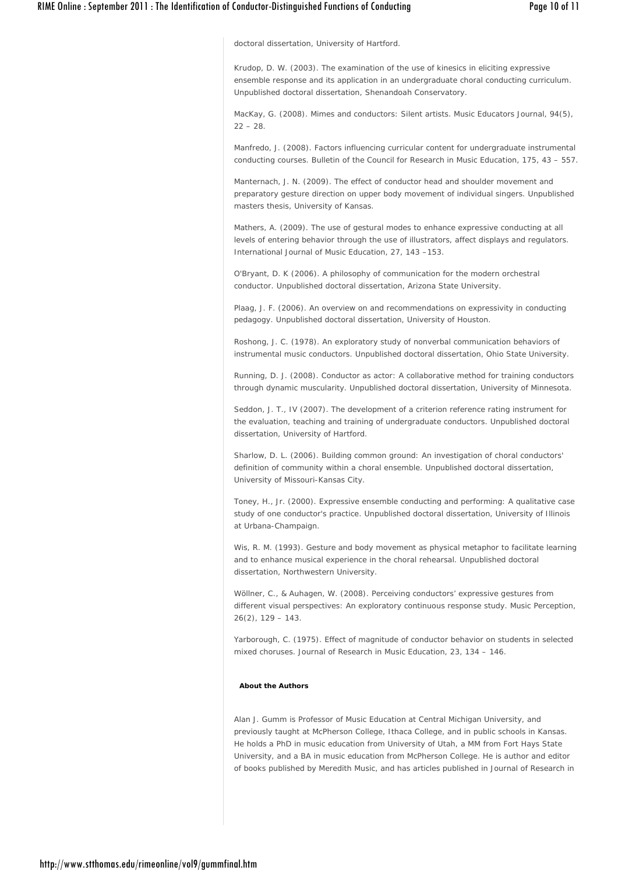doctoral dissertation, University of Hartford.

Krudop, D. W. (2003). *The examination of the use of kinesics in eliciting expressive ensemble response and its application in an undergraduate choral conducting curriculum*. Unpublished doctoral dissertation, Shenandoah Conservatory.

MacKay, G. (2008). Mimes and conductors: Silent artists. *Music Educators Journal*, *94*(5),  $22 - 28$ 

Manfredo, J. (2008). Factors influencing curricular content for undergraduate instrumental conducting courses. *Bulletin of the Council for Research in Music Education*, *175*, 43 – 557.

Manternach, J. N. (2009). *The effect of conductor head and shoulder movement and preparatory gesture direction on upper body movement of individual singers*. Unpublished masters thesis, University of Kansas.

Mathers, A. (2009). The use of gestural modes to enhance expressive conducting at all levels of entering behavior through the use of illustrators, affect displays and regulators. *International Journal of Music Education*, *27*, 143 –153.

O'Bryant, D. K (2006). *A philosophy of communication for the modern orchestral conductor*. Unpublished doctoral dissertation, Arizona State University.

Plaag, J. F. (2006). *An overview on and recommendations on expressivity in conducting pedagogy*. Unpublished doctoral dissertation, University of Houston.

Roshong, J. C. (1978). *An exploratory study of nonverbal communication behaviors of instrumental music conductors*. Unpublished doctoral dissertation, Ohio State University.

Running, D. J. (2008). *Conductor as actor: A collaborative method for training conductors through dynamic muscularity*. Unpublished doctoral dissertation, University of Minnesota.

Seddon, J. T., IV (2007). *The development of a criterion reference rating instrument for the evaluation, teaching and training of undergraduate conductors*. Unpublished doctoral dissertation, University of Hartford.

Sharlow, D. L. (2006). *Building common ground: An investigation of choral conductors' definition of community within a choral ensemble*. Unpublished doctoral dissertation, University of Missouri-Kansas City.

Toney, H., Jr. (2000). *Expressive ensemble conducting and performing: A qualitative case study of one conductor's practice*. Unpublished doctoral dissertation, University of Illinois at Urbana-Champaign.

Wis, R. M. (1993). *Gesture and body movement as physical metaphor to facilitate learning and to enhance musical experience in the choral rehearsal*. Unpublished doctoral dissertation, Northwestern University.

Wöllner, C., & Auhagen, W. (2008). Perceiving conductors' expressive gestures from different visual perspectives: An exploratory continuous response study. *Music Perception*, *26*(2), 129 – 143.

Yarborough, C. (1975). Effect of magnitude of conductor behavior on students in selected mixed choruses. *Journal of Research in Music Education*, *23*, 134 – 146.

## **About the Authors**

Alan J. Gumm is Professor of Music Education at Central Michigan University, and previously taught at McPherson College, Ithaca College, and in public schools in Kansas. He holds a PhD in music education from University of Utah, a MM from Fort Hays State University, and a BA in music education from McPherson College. He is author and editor of books published by Meredith Music, and has articles published in *Journal of Research* in